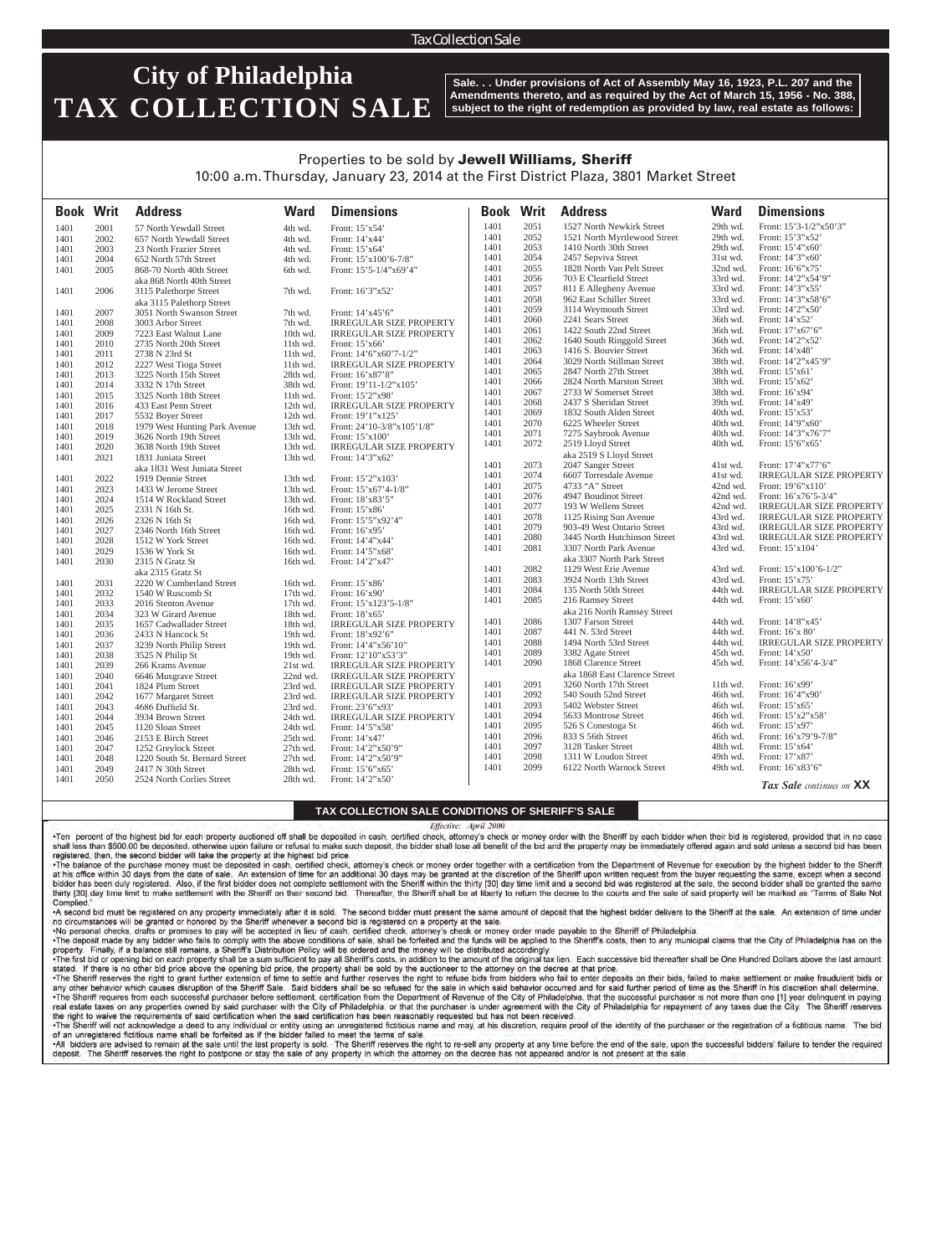#### Tax Collection Sale

## **City of Philadelphia TAX COLLECTION SALE**

**Sale. . . Under provisions of Act of Assembly May 16, 1923, P.L. 207 and the Amendments thereto, and as required by the Act of March 15, 1956 - No. 388, subject to the right of redemption as provided by law, real estate as follows:**

## Properties to be sold by Jewell Williams, Sheriff

10:00 a.m. Thursday, January 23, 2014 at the First District Plaza, 3801 Market Street

| <b>Book Writ</b> |      | <b>Address</b>                | <b>Ward</b> | <b>Dimensions</b>                  | <b>Book Writ</b> |      | <b>Address</b>                | <b>Ward</b> | <b>Dimensions</b>              |
|------------------|------|-------------------------------|-------------|------------------------------------|------------------|------|-------------------------------|-------------|--------------------------------|
| 1401             | 2001 | 57 North Yewdall Street       | 4th wd.     | Front: 15'x54'                     | 1401             | 2051 | 1527 North Newkirk Street     | 29th wd.    | Front: 15'3-1/2"x50'3"         |
| 1401             | 2002 | 657 North Yewdall Street      | 4th wd.     | Front: 14'x44'                     | 1401             | 2052 | 1521 North Myrtlewood Street  | 29th wd.    | Front: 15'3"x52'               |
| 1401             | 2003 | 23 North Frazier Street       | 4th wd.     | Front: 15'x64'                     | 1401             | 2053 | 1410 North 30th Street        | 29th wd.    | Front: 15'4"x60"               |
| 1401             | 2004 | 652 North 57th Street         | 4th wd.     | Front: $15'x100'6-7/8"$            | 1401             | 2054 | 2457 Sepviva Street           | 31st wd.    | Front: 14'3"x60"               |
| 1401             | 2005 | 868-70 North 40th Street      | 6th wd.     | Front: $15^{\circ}5 - 1/4$ "x69'4" | 1401             | 2055 | 1828 North Van Pelt Street    | 32nd wd.    | Front: 16'6"x75'               |
|                  |      | aka 868 North 40th Street     |             |                                    | 1401             | 2056 | 703 E Clearfield Street       | 33rd wd.    | Front: 14'2"x54'9"             |
| 1401             | 2006 | 3115 Palethorpe Street        | 7th wd.     | Front: 16'3"x52'                   | 1401             | 2057 | 811 E Allegheny Avenue        | 33rd wd.    | Front: 14'3"x55'               |
|                  |      | aka 3115 Palethorp Street     |             |                                    | 1401             | 2058 | 962 East Schiller Street      | 33rd wd.    | Front: 14'3"x58'6"             |
| 1401             | 2007 | 3051 North Swanson Street     | 7th wd.     | Front: $14'x45'6''$                | 1401             | 2059 | 3114 Weymouth Street          | 33rd wd.    | Front: 14'2"x50'               |
| 1401             | 2008 | 3003 Arbor Street             | 7th wd.     | <b>IRREGULAR SIZE PROPERTY</b>     | 1401             | 2060 | 2241 Sears Street             | 36th wd.    | Front: 14'x52'                 |
| 1401             | 2009 | 7223 East Walnut Lane         | 10th wd.    | <b>IRREGULAR SIZE PROPERTY</b>     | 1401             | 2061 | 1422 South 22nd Street        | 36th wd.    | Front: 17'x67'6"               |
| 1401             | 2010 | 2735 North 20th Street        | 11th wd.    | Front: 15'x66'                     | 1401             | 2062 | 1640 South Ringgold Street    | 36th wd.    | Front: 14'2"x52'               |
| 1401             | 2011 | 2738 N 23rd St                | 11th wd.    | Front: $14'6''x60'7-1/2"$          | 1401             | 2063 | 1416 S. Bouvier Street        | 36th wd.    | Front: 14'x48'                 |
| 1401             | 2012 | 2227 West Tioga Street        | 11th wd.    | <b>IRREGULAR SIZE PROPERTY</b>     | 1401             | 2064 | 3029 North Stillman Street    | 38th wd.    | Front: 14'2"x45'9"             |
| 1401             | 2013 | 3225 North 15th Street        | 28th wd.    | Front: 16'x87'8"                   | 1401             | 2065 | 2847 North 27th Street        | 38th wd.    | Front: 15'x61'                 |
| 1401             | 2014 | 3332 N 17th Street            | 38th wd.    | Front: 19'11-1/2"x105'             | 1401             | 2066 | 2824 North Marston Street     | 38th wd.    | Front: 15'x62'                 |
| 1401             | 2015 | 3325 North 18th Street        | 11th wd.    | Front: 15'2"x98'                   | 1401             | 2067 | 2733 W Somerset Street        | 38th wd.    | Front: 16'x94'                 |
| 1401             | 2016 | 433 East Penn Street          | 12th wd.    | <b>IRREGULAR SIZE PROPERTY</b>     | 1401             | 2068 | 2437 S Sheridan Street        | 39th wd.    | Front: 14'x49'                 |
| 1401             | 2017 | 5532 Boyer Street             | 12th wd.    | Front: 19'1"x125'                  | 1401             | 2069 | 1832 South Alden Street       | 40th wd.    | Front: 15'x53'                 |
| 1401             | 2018 | 1979 West Hunting Park Avenue | 13th wd.    | Front: 24'10-3/8"x105'1/8"         | 1401             | 2070 | 6225 Wheeler Street           | 40th wd.    | Front: 14'9"x60'               |
| 1401             | 2019 | 3626 North 19th Street        | 13th wd.    | Front: $15'x100'$                  | 1401             | 2071 | 7275 Saybrook Avenue          | 40th wd.    | Front: 14'3"x76'7"             |
| 1401             | 2020 | 3638 North 19th Street        | 13th wd.    | <b>IRREGULAR SIZE PROPERTY</b>     | 1401             | 2072 | 2519 Lloyd Street             | 40th wd.    | Front: 15'6"x65'               |
| 1401             | 2021 | 1831 Juniata Street           | 13th wd.    | Front: 14'3"x62'                   |                  |      | aka 2519 S Lloyd Street       |             |                                |
|                  |      | aka 1831 West Juniata Street  |             |                                    | 1401             | 2073 | 2047 Sanger Street            | 41st wd.    | Front: 17'4"x77'6"             |
| 1401             | 2022 | 1919 Dennie Street            | 13th wd.    | Front: 15'2"x103'                  | 1401             | 2074 | 6607 Torresdale Avenue        | 41st wd.    | <b>IRREGULAR SIZE PROPERTY</b> |
| 1401             | 2023 | 1433 W Jerome Street          | 13th wd.    | Front: $15'x67'4-1/8"$             | 1401             | 2075 | 4733 "A" Street               | 42nd wd.    | Front: 19'6"x110"              |
| 1401             | 2024 | 1514 W Rockland Street        | 13th wd.    | Front: 18'x83'5"                   | 1401             | 2076 | 4947 Boudinot Street          | 42nd wd.    | Front: $16'x76'5-3/4"$         |
| 1401             | 2025 | 2331 N 16th St.               | 16th wd.    | Front: 15'x86'                     | 1401             | 2077 | 193 W Wellens Street          | 42nd wd.    | <b>IRREGULAR SIZE PROPERTY</b> |
| 1401             | 2026 | 2326 N 16th St                | 16th wd.    | Front: 15'5"x92'4"                 | 1401             | 2078 | 1125 Rising Sun Avenue        | 43rd wd.    | <b>IRREGULAR SIZE PROPERTY</b> |
| 1401             | 2027 | 2346 North 16th Street        | 16th wd.    | Front: 16'x95'                     | 1401             | 2079 | 903-49 West Ontario Street    | 43rd wd.    | <b>IRREGULAR SIZE PROPERTY</b> |
| 1401             | 2028 | 1512 W York Street            | 16th wd.    | Front: 14'4"x44'                   | 1401             | 2080 | 3445 North Hutchinson Street  | 43rd wd.    | <b>IRREGULAR SIZE PROPERTY</b> |
| 1401             | 2029 | 1536 W York St                | 16th wd.    | Front: 14'5"x68"                   | 1401             | 2081 | 3307 North Park Avenue        | 43rd wd.    | Front: 15'x104'                |
| 1401             | 2030 | 2315 N Gratz St               | 16th wd.    | Front: 14'2"x47                    |                  |      | aka 3307 North Park Street    |             |                                |
|                  |      | aka 2315 Gratz St             |             |                                    | 1401             | 2082 | 1129 West Erie Avenue         | 43rd wd.    | Front: $15'x100'6-1/2"$        |
| 1401             | 2031 | 2220 W Cumberland Street      | 16th wd.    | Front: 15'x86'                     | 1401             | 2083 | 3924 North 13th Street        | 43rd wd.    | Front: 15'x75'                 |
| 1401             | 2032 | 1540 W Ruscomb St             | 17th wd.    | Front: $16'x90'$                   | 1401             | 2084 | 135 North 50th Street         | 44th wd.    | <b>IRREGULAR SIZE PROPERTY</b> |
| 1401             | 2033 | 2016 Stenton Avenue           | 17th wd.    | Front: $15'x123'5-1/8"$            | 1401             | 2085 | 216 Ramsey Street             | 44th wd.    | Front: 15'x60'                 |
| 1401             | 2034 | 323 W Girard Avenue           | 18th wd.    | Front: 18'x65'                     |                  |      | aka 216 North Ramsey Street   |             |                                |
| 1401             | 2035 | 1657 Cadwallader Street       | 18th wd.    | <b>IRREGULAR SIZE PROPERTY</b>     | 1401             | 2086 | 1307 Farson Street            | 44th wd.    | Front: 14'8"x45'               |
| 1401             | 2036 | 2433 N Hancock St             | 19th wd.    | Front: 18'x92'6"                   | 1401             | 2087 | 441 N. 53rd Street            | 44th wd.    | Front: 16'x 80'                |
| 1401             | 2037 | 3239 North Philip Street      | 19th wd.    | Front: 14'4"x56'10"                | 1401             | 2088 | 1494 North 53rd Street        | 44th wd.    | <b>IRREGULAR SIZE PROPERTY</b> |
| 1401             | 2038 | 3525 N Philip St              | 19th wd.    | Front: 12'10"x53'3"                | 1401             | 2089 | 3382 Agate Street             | 45th wd.    | Front: 14'x50'                 |
| 1401             | 2039 | 266 Krams Avenue              | 21st wd.    | <b>IRREGULAR SIZE PROPERTY</b>     | 1401             | 2090 | 1868 Clarence Street          | 45th wd.    | Front: 14'x56'4-3/4"           |
| 1401             | 2040 | 6646 Musgrave Street          | 22nd wd.    | <b>IRREGULAR SIZE PROPERTY</b>     |                  |      | aka 1868 East Clarence Street |             |                                |
| 1401             | 2041 | 1824 Plum Street              | 23rd wd.    | <b>IRREGULAR SIZE PROPERTY</b>     | 1401             | 2091 | 3260 North 17th Street        | 11th wd.    | Front: 16'x99'                 |
| 1401             | 2042 | 1677 Margaret Street          | 23rd wd.    | <b>IRREGULAR SIZE PROPERTY</b>     | 1401             | 2092 | 540 South 52nd Street         | 46th wd.    | Front: 16'4"x90'               |
| 1401             | 2043 | 4686 Duffield St.             | 23rd wd.    | Front: 23'6"x93'                   | 1401             | 2093 | 5402 Webster Street           | 46th wd.    | Front: 15'x65'                 |
| 1401             | 2044 | 3934 Brown Street             | 24th wd.    | <b>IRREGULAR SIZE PROPERTY</b>     | 1401             | 2094 | 5633 Montrose Street          | 46th wd.    | Front: 15'x2"x58'              |
| 1401             | 2045 | 1120 Sloan Street             | 24th wd.    | Front: 14'5"x58'                   | 1401             | 2095 | 526 S Conestoga St            | 46th wd.    | Front: $15'$ x97'              |
| 1401             | 2046 | 2153 E Birch Street           | 25th wd.    | Front: 14'x47'                     | 1401             | 2096 | 833 S 56th Street             | 46th wd.    | Front: 16'x79'9-7/8"           |
| 1401             | 2047 | 1252 Greylock Street          | 27th wd.    | Front: 14'2"x50'9"                 | 1401             | 2097 | 3128 Tasker Street            | 48th wd.    | Front: 15'x64'                 |
| 1401             | 2048 | 1220 South St. Bernard Street | 27th wd.    | Front: 14'2"x50'9"                 | 1401             | 2098 | 1311 W Loudon Street          | 49th wd.    | Front: 17'x87'                 |
| 1401             | 2049 | 2417 N 30th Street            | 28th wd.    | Front: 15'6"x65'                   | 1401             | 2099 | 6122 North Warnock Street     | 49th wd.    | Front: 16'x83'6"               |
| 1401             | 2050 | 2524 North Corlies Street     | 28th wd.    | Front: 14'2"x50"                   |                  |      |                               |             |                                |
|                  |      |                               |             |                                    |                  |      |                               |             | Tax Sale continues on XX       |

#### **TAX COLLECTION SALE CONDITIONS OF SHERIFF'S SALE**

Effective: April 2000

-Ten percent of the highest bid for each property auctioned off shall be deposited in cash, certified check, attorney's check or money order with the Sheriff by each bidder when their bid is registered, provided that in no shall less than \$500.00 be deposited, otherwise upon failure or refusal to make such deposit, the bidder shall lose all benefit of the bid and the property may be immediately offered again and sold unless a second bid has registered, then, the second bidder will take the property at the highest bid price.

.The balance of the purchase money must be deposited in cash, certified check, attorney's check or money order together with a certification from the Department of Revenue for execution by the highest bidder to the Sheriff at his office within 30 days from the date of sale. An extension of time for an additional 30 days may be granted at the discretion of the Sheriff upon written request from the buyer requesting the same, except when a seco thirty [30] day time limit to make settlement with the Sheriff on their second bid. Thereafter, the Sheriff shall be at liberty to return the decree to the courts and the sale of said property will be marked as "Terms of S Complied

-A second bid must be registered on any property immediately after it is sold. The second bidder must present the same amount of deposit that the highest bidder delivers to the Sheriff at the sale. An extension of time und no circumstances will be granted or honored by the Sheriff whenever a second bid is registered on a property at the sale.

.No personal checks, drafts or promises to pay will be accepted in lieu of cash, certified check, attorney's check or money order made payable to the Sheriff of Philadelphia. The deposit made by any bidder who fails to comply with the above conditions of sale, shall be forfeited and the funds will be applied to the Sheriff's costs, then to any municipal claims that the City of Philadelphia has

The first bid or opening bid on each property shall be a sum sufficient to pay all Sheriff's costs, in addition to the amount of the original tax lien. Each successive bid thereafter shall be One Hundred Dollars above the

stated. If there is no other bid price above the opening bid price, the property shall be sold by the auctioneer to the attorney on the decree at that price.<br>-The Sheriff reserves the right to grant further extension of ti any other behavior which causes disruption of the Sheriff Sale. Said bidders shall be so refused for the sale in which said behavior occurred and for said further period of time as the Sheriff in his discretion shall deter -The Sheriff requires from each successful purchaser before settlement, certification from the Department of Revenue of the City of Philadelphia, that the successful purchaser is not more than one [1] year delinquent in pa real estate taxes on any properties owned by said purchaser with the City of Philadelphia, or that the purchaser is under agreement with the City of Philadelphia for repayment of any taxes due the City. The Sheriff reserve the right to waive the requirements of said certification when the said certification has been reasonably requested but has not been received.

-The Sheriff will not acknowledge a deed to any individual or entity using an unregistered fictitious name and may, at his discretion, require proof of the identity of the purchaser or the registration of a fictitious name of an unregistered fictitious name shall be forfeited as if the bidder failed to meet the terms of sale.

-All bidders are advised to remain at the sale until the last property is sold. The Sheriff reserves the right to re-sell any property at any time before the end of the sale, upon the successful bidders' failure to tender deposit. The Sheriff reserves the right to postpone or stay the sale of any property in which the attorney on the decree has not appeared and/or is not present at the sale.